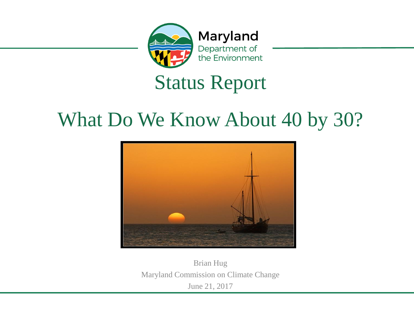

Maryland Department of the Environment

#### Status Report

#### What Do We Know About 40 by 30?



Brian Hug Maryland Commission on Climate Change June 21, 2017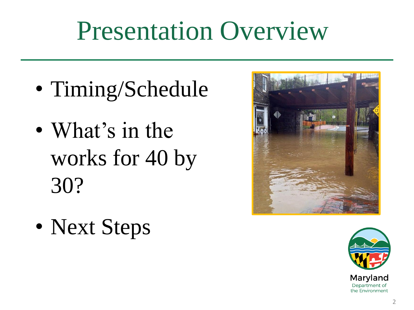### Presentation Overview

- Timing/Schedule
- What's in the works for 40 by 30?
- Next Steps



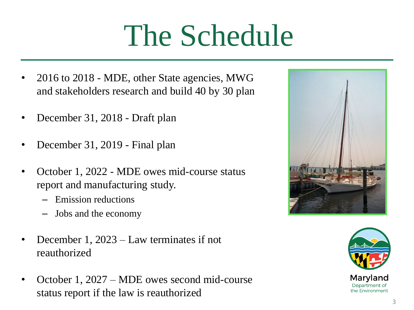# The Schedule

- 2016 to 2018 MDE, other State agencies, MWG and stakeholders research and build 40 by 30 plan
- December 31, 2018 Draft plan
- December 31, 2019 Final plan
- October 1, 2022 MDE owes mid-course status report and manufacturing study.
	- Emission reductions
	- Jobs and the economy
- December 1, 2023 Law terminates if not reauthorized
- October 1, 2027 MDE owes second mid-course status report if the law is reauthorized



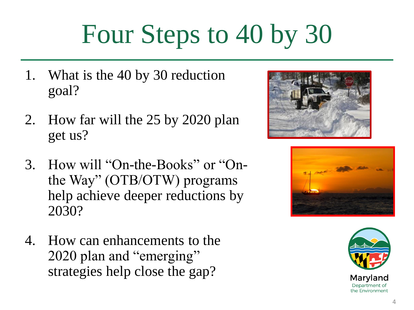## Four Steps to 40 by 30

- 1. What is the 40 by 30 reduction goal?
- 2. How far will the 25 by 2020 plan get us?
- 3. How will "On-the-Books" or "Onthe Way" (OTB/OTW) programs help achieve deeper reductions by 2030?
- 4. How can enhancements to the 2020 plan and "emerging" strategies help close the gap?





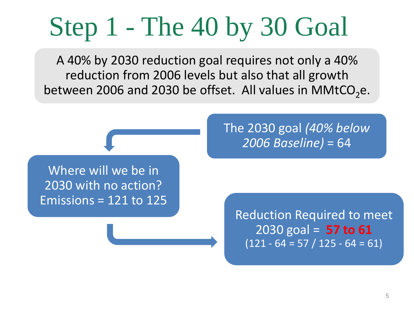### Step 1 - The 40 by 30 Goal

A 40% by 2030 reduction goal requires not only a 40% reduction from 2006 levels but also that all growth between 2006 and 2030 be offset. All values in MMtCO<sub>2</sub>e.

Where will we be in 2030 with no action? Emissions =  $121$  to  $125$  The 2030 goal *(40% below 2006 Baseline)* = 64

Reduction Required to meet 2030 goal = **57 to 61**   $(121 - 64 = 57 / 125 - 64 = 61)$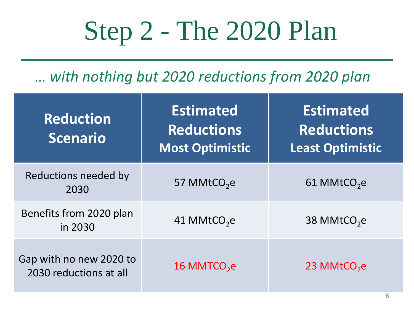## Step 2 - The 2020 Plan

*… with nothing but 2020 reductions from 2020 plan*

| <b>Reduction</b><br><b>Scenario</b>               | <b>Estimated</b><br><b>Reductions</b><br><b>Most Optimistic</b> | Estimated<br><b>Reductions</b><br>Least Optimistic |
|---------------------------------------------------|-----------------------------------------------------------------|----------------------------------------------------|
| Reductions needed by<br>2030                      | 57 MMtCO <sub>2</sub> e                                         | 61 MMtCO <sub>2</sub> e                            |
| Benefits from 2020 plan<br>in 2030                | 41 MMtCO <sub>2</sub> e                                         | 38 MMtCO <sub>2</sub> e                            |
| Gap with no new 2020 to<br>2030 reductions at all | 16 MMTCO <sub>2</sub> e                                         | 23 MMtCO <sub>2</sub> e                            |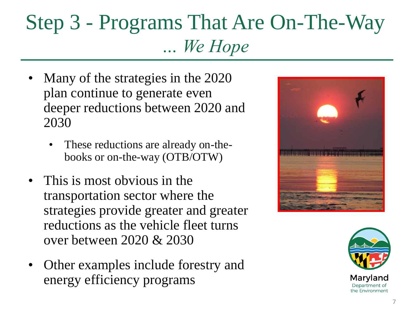#### Step 3 - Programs That Are On-The-Way *… We Hope*

- Many of the strategies in the 2020 plan continue to generate even deeper reductions between 2020 and 2030
	- These reductions are already on-thebooks or on-the-way (OTB/OTW)
- This is most obvious in the transportation sector where the strategies provide greater and greater reductions as the vehicle fleet turns over between 2020 & 2030
- Other examples include forestry and energy efficiency programs



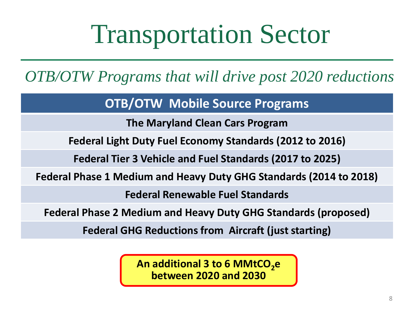### Transportation Sector

*OTB/OTW Programs that will drive post 2020 reductions*

**OTB/OTW Mobile Source Programs**

**The Maryland Clean Cars Program**

**Federal Light Duty Fuel Economy Standards (2012 to 2016)**

**Federal Tier 3 Vehicle and Fuel Standards (2017 to 2025)**

**Federal Phase 1 Medium and Heavy Duty GHG Standards (2014 to 2018)**

**Federal Renewable Fuel Standards**

**Federal Phase 2 Medium and Heavy Duty GHG Standards (proposed)**

**Federal GHG Reductions from Aircraft (just starting)**

**An additional 3 to 6 MMtCO<sub>2</sub>e between 2020 and 2030**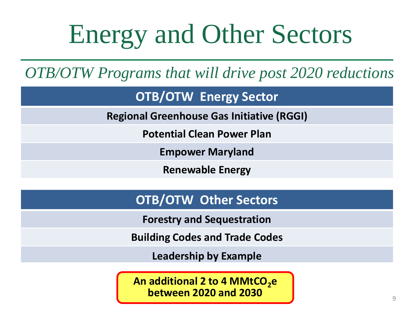## Energy and Other Sectors

*OTB/OTW Programs that will drive post 2020 reductions*

**OTB/OTW Energy Sector**

**Regional Greenhouse Gas Initiative (RGGI)**

**Potential Clean Power Plan**

**Empower Maryland**

**Renewable Energy**

#### **OTB/OTW Other Sectors**

**Forestry and Sequestration**

**Building Codes and Trade Codes** 

**Leadership by Example**

An additional 2 to 4 MMtCO<sub>2</sub>e **between 2020 and 2030** <sup>9</sup>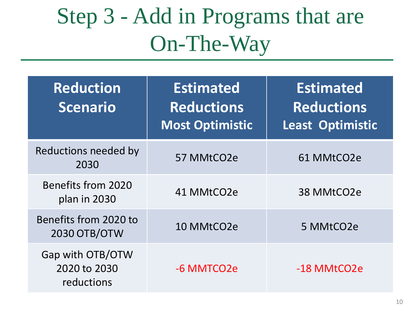### Step 3 - Add in Programs that are On-The-Way

| <b>Reduction</b><br><b>Scenario</b>            | <b>Estimated</b><br><b>Reductions</b><br><b>Most Optimistic</b> | <b>Estimated</b><br><b>Reductions</b><br><b>Least Optimistic</b> |
|------------------------------------------------|-----------------------------------------------------------------|------------------------------------------------------------------|
| Reductions needed by<br>2030                   | 57 MMtCO2e                                                      | 61 MMtCO2e                                                       |
| Benefits from 2020<br>plan in 2030             | 41 MMtCO2e                                                      | 38 MMtCO2e                                                       |
| Benefits from 2020 to<br>2030 OTB/OTW          | 10 MMtCO2e                                                      | 5 MMtCO2e                                                        |
| Gap with OTB/OTW<br>2020 to 2030<br>reductions | -6 MMTCO2e                                                      | -18 MMtCO2e                                                      |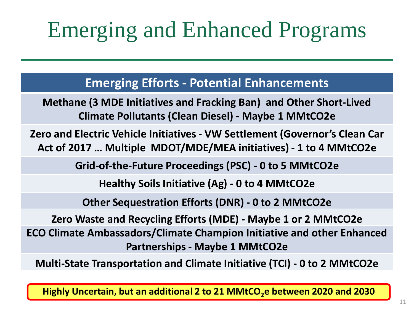### Emerging and Enhanced Programs

**Emerging Efforts - Potential Enhancements**

**Methane (3 MDE Initiatives and Fracking Ban) and Other Short-Lived Climate Pollutants (Clean Diesel) - Maybe 1 MMtCO2e**

**Zero and Electric Vehicle Initiatives - VW Settlement (Governor's Clean Car Act of 2017 … Multiple MDOT/MDE/MEA initiatives) - 1 to 4 MMtCO2e**

**Grid-of-the-Future Proceedings (PSC) - 0 to 5 MMtCO2e**

**Healthy Soils Initiative (Ag) - 0 to 4 MMtCO2e**

**Other Sequestration Efforts (DNR) - 0 to 2 MMtCO2e**

**Zero Waste and Recycling Efforts (MDE) - Maybe 1 or 2 MMtCO2e ECO Climate Ambassadors/Climate Champion Initiative and other Enhanced Partnerships - Maybe 1 MMtCO2e**

**Multi-State Transportation and Climate Initiative (TCI) - 0 to 2 MMtCO2e**

**Highly Uncertain, but an additional 2 to 21 MMtCO2e between 2020 and 2030**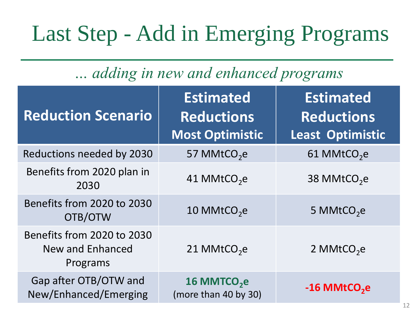### Last Step - Add in Emerging Programs

#### *… adding in new and enhanced programs*

| <b>Reduction Scenario</b>                                         | <b>Estimated</b><br><b>Reductions</b><br><b>Most Optimistic</b> | <b>Estimated</b><br><b>Reductions</b><br><b>Least Optimistic</b> |
|-------------------------------------------------------------------|-----------------------------------------------------------------|------------------------------------------------------------------|
| Reductions needed by 2030                                         | 57 MMtCO <sub>2</sub> e                                         | 61 MMtCO <sub>2</sub> e                                          |
| Benefits from 2020 plan in<br>2030                                | 41 MMtCO <sub>2</sub> e                                         | 38 MMtCO <sub>2</sub> e                                          |
| Benefits from 2020 to 2030<br>OTB/OTW                             | 10 MMtCO <sub>2</sub> e                                         | 5 MMtCO <sub>2</sub> e                                           |
| Benefits from 2020 to 2030<br><b>New and Enhanced</b><br>Programs | 21 MMtCO <sub>2</sub> e                                         | 2 MMtCO <sub>2</sub> e                                           |
| Gap after OTB/OTW and<br>New/Enhanced/Emerging                    | 16 MMTCO <sub>2</sub> e<br>(more than 40 by 30)                 | -16 MMtCO <sub>2</sub> e                                         |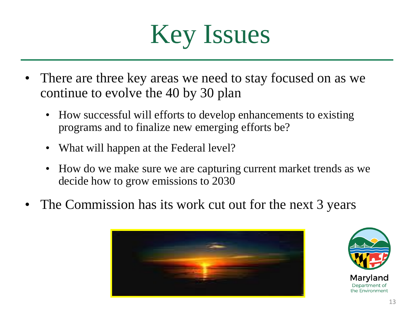

- There are three key areas we need to stay focused on as we continue to evolve the 40 by 30 plan
	- How successful will efforts to develop enhancements to existing programs and to finalize new emerging efforts be?
	- What will happen at the Federal level?
	- How do we make sure we are capturing current market trends as we decide how to grow emissions to 2030
- The Commission has its work cut out for the next 3 years



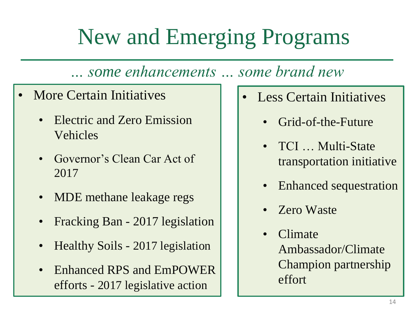### New and Emerging Programs

*… some enhancements … some brand new*

- More Certain Initiatives
	- Electric and Zero Emission Vehicles
	- Governor's Clean Car Act of 2017
	- MDE methane leakage regs
	- Fracking Ban 2017 legislation
	- Healthy Soils 2017 legislation
	- Enhanced RPS and EmPOWER efforts - 2017 legislative action
- **Less Certain Initiatives** 
	- Grid-of-the-Future
	- TCI ... Multi-State transportation initiative
	- Enhanced sequestration
	- Zero Waste
	- Climate Ambassador/Climate Champion partnership effort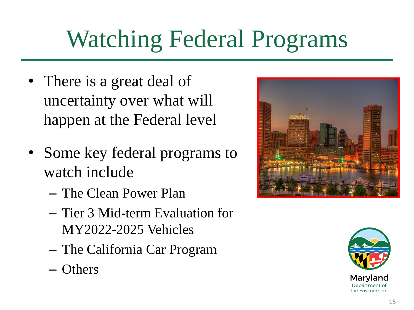### Watching Federal Programs

- There is a great deal of uncertainty over what will happen at the Federal level
- Some key federal programs to watch include
	- The Clean Power Plan
	- Tier 3 Mid-term Evaluation for MY2022-2025 Vehicles
	- The California Car Program
	- Others